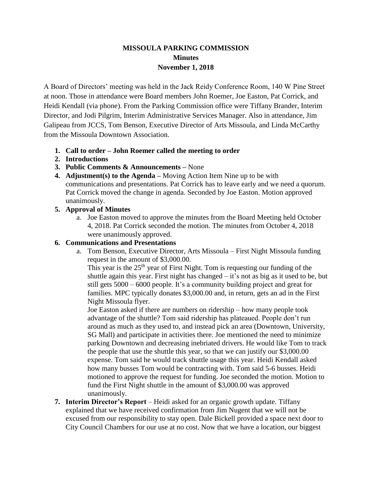# **MISSOULA PARKING COMMISSION Minutes November 1, 2018**

A Board of Directors' meeting was held in the Jack Reidy Conference Room, 140 W Pine Street at noon. Those in attendance were Board members John Roemer, Joe Easton, Pat Corrick, and Heidi Kendall (via phone). From the Parking Commission office were Tiffany Brander, Interim Director, and Jodi Pilgrim, Interim Administrative Services Manager. Also in attendance, Jim Galipeau from JCCS, Tom Benson, Executive Director of Arts Missoula, and Linda McCarthy from the Missoula Downtown Association.

- **1. Call to order – John Roemer called the meeting to order**
- **2. Introductions**
- **3. Public Comments & Announcements –** None
- **4. Adjustment(s) to the Agenda –** Moving Action Item Nine up to be with communications and presentations. Pat Corrick has to leave early and we need a quorum. Pat Corrick moved the change in agenda. Seconded by Joe Easton. Motion approved unanimously.

# **5. Approval of Minutes**

a. Joe Easton moved to approve the minutes from the Board Meeting held October 4, 2018. Pat Corrick seconded the motion. The minutes from October 4, 2018 were unanimously approved.

# **6. Communications and Presentations**

a. Tom Benson, Executive Director, Arts Missoula – First Night Missoula funding request in the amount of \$3,000.00.

This year is the  $25<sup>th</sup>$  year of First Night. Tom is requesting our funding of the shuttle again this year. First night has changed – it's not as big as it used to be, but still gets 5000 – 6000 people. It's a community building project and great for families. MPC typically donates \$3,000.00 and, in return, gets an ad in the First Night Missoula flyer.

Joe Easton asked if there are numbers on ridership – how many people took advantage of the shuttle? Tom said ridership has plateaued. People don't run around as much as they used to, and instead pick an area (Downtown, University, SG Mall) and participate in activities there. Joe mentioned the need to minimize parking Downtown and decreasing inebriated drivers. He would like Tom to track the people that use the shuttle this year, so that we can justify our \$3,000.00 expense. Tom said he would track shuttle usage this year. Heidi Kendall asked how many busses Tom would be contracting with. Tom said 5-6 busses. Heidi motioned to approve the request for funding. Joe seconded the motion. Motion to fund the First Night shuttle in the amount of \$3,000.00 was approved unanimously.

**7. Interim Director's Report** – Heidi asked for an organic growth update. Tiffany explained that we have received confirmation from Jim Nugent that we will not be excused from our responsibility to stay open. Dale Bickell provided a space next door to City Council Chambers for our use at no cost. Now that we have a location, our biggest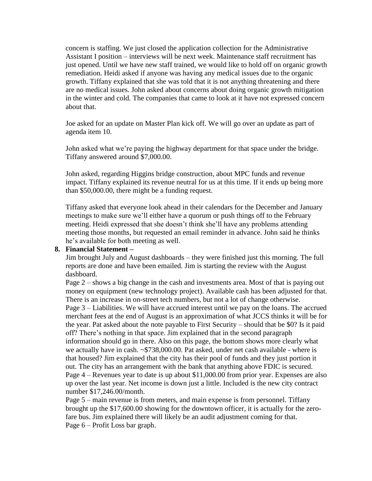concern is staffing. We just closed the application collection for the Administrative Assistant I position – interviews will be next week. Maintenance staff recruitment has just opened. Until we have new staff trained, we would like to hold off on organic growth remediation. Heidi asked if anyone was having any medical issues due to the organic growth. Tiffany explained that she was told that it is not anything threatening and there are no medical issues. John asked about concerns about doing organic growth mitigation in the winter and cold. The companies that came to look at it have not expressed concern about that.

Joe asked for an update on Master Plan kick off. We will go over an update as part of agenda item 10.

John asked what we're paying the highway department for that space under the bridge. Tiffany answered around \$7,000.00.

John asked, regarding Higgins bridge construction, about MPC funds and revenue impact. Tiffany explained its revenue neutral for us at this time. If it ends up being more than \$50,000.00, there might be a funding request.

Tiffany asked that everyone look ahead in their calendars for the December and January meetings to make sure we'll either have a quorum or push things off to the February meeting. Heidi expressed that she doesn't think she'll have any problems attending meeting those months, but requested an email reminder in advance. John said he thinks he's available for both meeting as well.

#### **8. Financial Statement –**

Jim brought July and August dashboards – they were finished just this morning. The full reports are done and have been emailed. Jim is starting the review with the August dashboard.

Page 2 – shows a big change in the cash and investments area. Most of that is paying out money on equipment (new technology project). Available cash has been adjusted for that. There is an increase in on-street tech numbers, but not a lot of change otherwise. Page 3 – Liabilities. We will have accrued interest until we pay on the loans. The accrued merchant fees at the end of August is an approximation of what JCCS thinks it will be for the year. Pat asked about the note payable to First Security – should that be \$0? Is it paid off? There's nothing in that space. Jim explained that in the second paragraph information should go in there. Also on this page, the bottom shows more clearly what we actually have in cash. ~\$738,000.00. Pat asked, under net cash available - where is that housed? Jim explained that the city has their pool of funds and they just portion it out. The city has an arrangement with the bank that anything above FDIC is secured. Page 4 – Revenues year to date is up about \$11,000.00 from prior year. Expenses are also up over the last year. Net income is down just a little. Included is the new city contract number \$17,246.00/month.

Page 5 – main revenue is from meters, and main expense is from personnel. Tiffany brought up the \$17,600.00 showing for the downtown officer, it is actually for the zerofare bus. Jim explained there will likely be an audit adjustment coming for that. Page 6 – Profit Loss bar graph.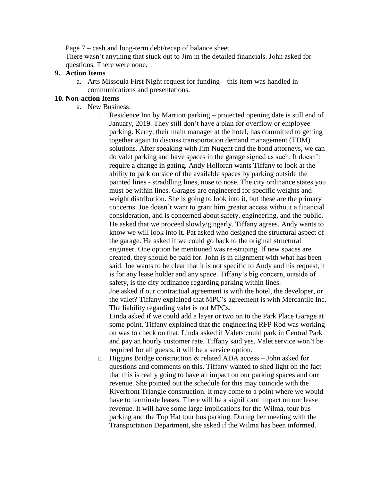Page 7 – cash and long-term debt/recap of balance sheet.

There wasn't anything that stuck out to Jim in the detailed financials. John asked for questions. There were none.

## **9. Action Items**

a. Arts Missoula First Night request for funding – this item was handled in communications and presentations.

# **10. Non-action Items**

- a. New Business:
	- i. Residence Inn by Marriott parking projected opening date is still end of January, 2019. They still don't have a plan for overflow or employee parking. Kerry, their main manager at the hotel, has committed to getting together again to discuss transportation demand management (TDM) solutions. After speaking with Jim Nugent and the bond attorneys, we can do valet parking and have spaces in the garage signed as such. It doesn't require a change in gating. Andy Holloran wants Tiffany to look at the ability to park outside of the available spaces by parking outside the painted lines - straddling lines, nose to nose. The city ordinance states you must be within lines. Garages are engineered for specific weights and weight distribution. She is going to look into it, but these are the primary concerns. Joe doesn't want to grant him greater access without a financial consideration, and is concerned about safety, engineering, and the public. He asked that we proceed slowly/gingerly. Tiffany agrees. Andy wants to know we will look into it. Pat asked who designed the structural aspect of the garage. He asked if we could go back to the original structural engineer. One option he mentioned was re-striping. If new spaces are created, they should be paid for. John is in alignment with what has been said. Joe wants to be clear that it is not specific to Andy and his request, it is for any lease holder and any space. Tiffany's big concern, outside of safety, is the city ordinance regarding parking within lines. Joe asked if our contractual agreement is with the hotel, the developer, or the valet? Tiffany explained that MPC's agreement is with Mercantile Inc. The liability regarding valet is not MPCs. Linda asked if we could add a layer or two on to the Park Place Garage at some point. Tiffany explained that the engineering RFP Rod was working on was to check on that. Linda asked if Valets could park in Central Park and pay an hourly customer rate. Tiffany said yes. Valet service won't be required for all guests, it will be a service option.
	- ii. Higgins Bridge construction  $&$  related ADA access John asked for questions and comments on this. Tiffany wanted to shed light on the fact that this is really going to have an impact on our parking spaces and our revenue. She pointed out the schedule for this may coincide with the Riverfront Triangle construction. It may come to a point where we would have to terminate leases. There will be a significant impact on our lease revenue. It will have some large implications for the Wilma, tour bus parking and the Top Hat tour bus parking. During her meeting with the Transportation Department, she asked if the Wilma has been informed.